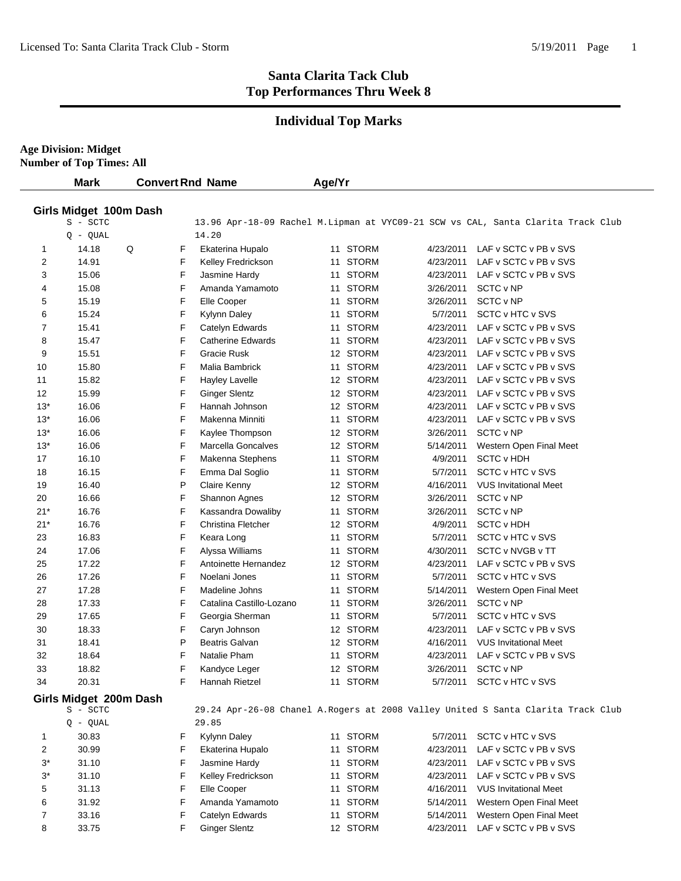## **Individual Top Marks**

**Age Division: Midget**

**Number of Top Times: All**

|                | <b>Mark</b>            |   |   | <b>Convert Rnd Name</b>  | Age/Yr |              |           |                                                                                  |
|----------------|------------------------|---|---|--------------------------|--------|--------------|-----------|----------------------------------------------------------------------------------|
|                | Girls Midget 100m Dash |   |   |                          |        |              |           |                                                                                  |
|                | S - SCTC               |   |   |                          |        |              |           | 13.96 Apr-18-09 Rachel M.Lipman at VYC09-21 SCW vs CAL, Santa Clarita Track Club |
|                | $Q - QUAL$             |   |   | 14.20                    |        |              |           |                                                                                  |
| 1              | 14.18                  | Q | F | Ekaterina Hupalo         | 11     | <b>STORM</b> | 4/23/2011 | LAF v SCTC v PB v SVS                                                            |
| 2              | 14.91                  |   | F | Kelley Fredrickson       | 11     | <b>STORM</b> | 4/23/2011 | LAF v SCTC v PB v SVS                                                            |
| 3              | 15.06                  |   | F | Jasmine Hardy            | 11     | STORM        | 4/23/2011 | LAF v SCTC v PB v SVS                                                            |
| 4              | 15.08                  |   | F | Amanda Yamamoto          | 11     | <b>STORM</b> | 3/26/2011 | SCTC v NP                                                                        |
| 5              | 15.19                  |   | F | Elle Cooper              | 11     | <b>STORM</b> | 3/26/2011 | SCTC v NP                                                                        |
| 6              | 15.24                  |   | F | Kylynn Daley             | 11     | <b>STORM</b> | 5/7/2011  | SCTC v HTC v SVS                                                                 |
| 7              | 15.41                  |   | F | Catelyn Edwards          | 11     | <b>STORM</b> | 4/23/2011 | LAF v SCTC v PB v SVS                                                            |
| 8              | 15.47                  |   | F | Catherine Edwards        | 11     | <b>STORM</b> | 4/23/2011 | LAF v SCTC v PB v SVS                                                            |
| 9              | 15.51                  |   | F | Gracie Rusk              |        | 12 STORM     | 4/23/2011 | LAF v SCTC v PB v SVS                                                            |
| 10             | 15.80                  |   | F | Malia Bambrick           |        | 11 STORM     | 4/23/2011 | LAF v SCTC v PB v SVS                                                            |
| 11             | 15.82                  |   | F | <b>Hayley Lavelle</b>    |        | 12 STORM     | 4/23/2011 | LAF v SCTC v PB v SVS                                                            |
| 12             | 15.99                  |   | F | <b>Ginger Slentz</b>     |        | 12 STORM     | 4/23/2011 | LAF v SCTC v PB v SVS                                                            |
| $13*$          | 16.06                  |   | F | Hannah Johnson           |        | 12 STORM     | 4/23/2011 | LAF v SCTC v PB v SVS                                                            |
| $13*$          | 16.06                  |   | F | Makenna Minniti          |        | 11 STORM     | 4/23/2011 | LAF v SCTC v PB v SVS                                                            |
| $13*$          | 16.06                  |   | F | Kaylee Thompson          |        | 12 STORM     | 3/26/2011 | SCTC v NP                                                                        |
| $13*$          | 16.06                  |   | F | Marcella Goncalves       |        | 12 STORM     | 5/14/2011 | Western Open Final Meet                                                          |
| 17             | 16.10                  |   | F | Makenna Stephens         | 11     | <b>STORM</b> | 4/9/2011  | <b>SCTC v HDH</b>                                                                |
| 18             | 16.15                  |   | F | Emma Dal Soglio          | 11     | <b>STORM</b> | 5/7/2011  | SCTC v HTC v SVS                                                                 |
| 19             | 16.40                  |   | P | Claire Kenny             |        | 12 STORM     | 4/16/2011 | <b>VUS Invitational Meet</b>                                                     |
| 20             | 16.66                  |   | F | Shannon Agnes            |        | 12 STORM     | 3/26/2011 | SCTC v NP                                                                        |
| 21*            | 16.76                  |   | F | Kassandra Dowaliby       |        | 11 STORM     | 3/26/2011 | SCTC v NP                                                                        |
| $21*$          | 16.76                  |   | F | Christina Fletcher       |        | 12 STORM     | 4/9/2011  | <b>SCTC v HDH</b>                                                                |
| 23             | 16.83                  |   | F | Keara Long               |        | 11 STORM     | 5/7/2011  | SCTC v HTC v SVS                                                                 |
| 24             | 17.06                  |   | F | Alyssa Williams          |        | 11 STORM     | 4/30/2011 | SCTC v NVGB v TT                                                                 |
| 25             | 17.22                  |   | F | Antoinette Hernandez     |        | 12 STORM     | 4/23/2011 | LAF v SCTC v PB v SVS                                                            |
| 26             | 17.26                  |   | F | Noelani Jones            |        | 11 STORM     | 5/7/2011  | SCTC v HTC v SVS                                                                 |
| 27             | 17.28                  |   | F | Madeline Johns           | 11     | <b>STORM</b> | 5/14/2011 | Western Open Final Meet                                                          |
| 28             | 17.33                  |   | F | Catalina Castillo-Lozano |        | 11 STORM     | 3/26/2011 | SCTC v NP                                                                        |
| 29             | 17.65                  |   | F | Georgia Sherman          | 11     | <b>STORM</b> | 5/7/2011  | SCTC v HTC v SVS                                                                 |
| 30             | 18.33                  |   | F | Caryn Johnson            |        | 12 STORM     | 4/23/2011 | LAF v SCTC v PB v SVS                                                            |
| 31             | 18.41                  |   | P | <b>Beatris Galvan</b>    |        | 12 STORM     | 4/16/2011 | <b>VUS Invitational Meet</b>                                                     |
| 32             | 18.64                  |   | F | Natalie Pham             | 11     | <b>STORM</b> | 4/23/2011 | LAF v SCTC v PB v SVS                                                            |
| 33             | 18.82                  |   | F | Kandyce Leger            |        | 12 STORM     | 3/26/2011 | <b>SCTC v NP</b>                                                                 |
| 34             | 20.31                  |   | F | Hannah Rietzel           |        | 11 STORM     | 5/7/2011  | SCTC v HTC v SVS                                                                 |
|                | Girls Midget 200m Dash |   |   |                          |        |              |           |                                                                                  |
|                | S - SCTC               |   |   |                          |        |              |           | 29.24 Apr-26-08 Chanel A.Rogers at 2008 Valley United S Santa Clarita Track Club |
|                | $Q - QUAL$             |   |   | 29.85                    |        |              |           |                                                                                  |
| 1              | 30.83                  |   | F | Kylynn Daley             |        | 11 STORM     | 5/7/2011  | SCTC v HTC v SVS                                                                 |
| $\overline{2}$ | 30.99                  |   | F | Ekaterina Hupalo         |        | 11 STORM     | 4/23/2011 | LAF v SCTC v PB v SVS                                                            |
| $3^*$          | 31.10                  |   | F | Jasmine Hardy            |        | 11 STORM     | 4/23/2011 | LAF v SCTC v PB v SVS                                                            |
| $3^*$          | 31.10                  |   | F | Kelley Fredrickson       |        | 11 STORM     | 4/23/2011 | LAF v SCTC v PB v SVS                                                            |
| 5              | 31.13                  |   | F | Elle Cooper              |        | 11 STORM     | 4/16/2011 | <b>VUS Invitational Meet</b>                                                     |
| 6              | 31.92                  |   | F | Amanda Yamamoto          |        | 11 STORM     | 5/14/2011 | Western Open Final Meet                                                          |
| 7              | 33.16                  |   | F | Catelyn Edwards          |        | 11 STORM     | 5/14/2011 | Western Open Final Meet                                                          |
| 8              | 33.75                  |   | F | <b>Ginger Slentz</b>     |        | 12 STORM     | 4/23/2011 | LAF v SCTC v PB v SVS                                                            |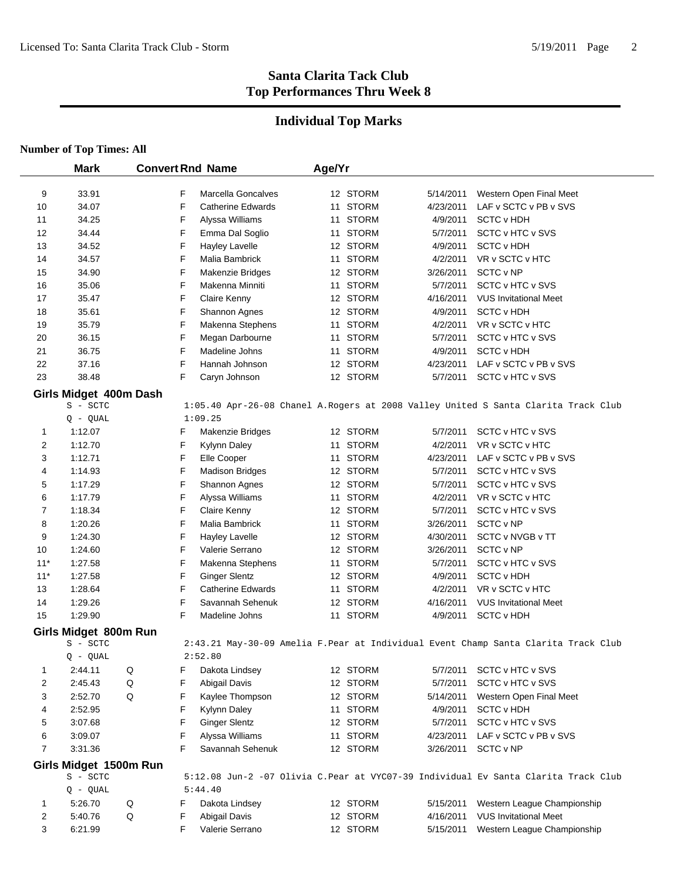#### **Individual Top Marks**

#### **Number of Top Times: All**

 $\mathbf{r}$ 

|                | <b>Mark</b>                        | <b>Convert Rnd Name</b> |                                 | Age/Yr |                      |                        |                                                                                     |
|----------------|------------------------------------|-------------------------|---------------------------------|--------|----------------------|------------------------|-------------------------------------------------------------------------------------|
|                | 33.91                              |                         | Marcella Goncalves              |        | 12 STORM             |                        | Western Open Final Meet                                                             |
| 9<br>10        | 34.07                              | F<br>F                  | <b>Catherine Edwards</b>        |        | 11 STORM             | 5/14/2011<br>4/23/2011 | LAF v SCTC v PB v SVS                                                               |
| 11             | 34.25                              | F                       | Alyssa Williams                 |        | 11 STORM             | 4/9/2011               | <b>SCTC v HDH</b>                                                                   |
| 12             | 34.44                              | F                       | Emma Dal Soglio                 |        | 11 STORM             | 5/7/2011               | <b>SCTC v HTC v SVS</b>                                                             |
| 13             | 34.52                              | F                       | <b>Hayley Lavelle</b>           |        | 12 STORM             | 4/9/2011               | <b>SCTC v HDH</b>                                                                   |
| 14             | 34.57                              | F                       | Malia Bambrick                  |        | 11 STORM             | 4/2/2011               | VR v SCTC v HTC                                                                     |
| 15             | 34.90                              | F                       | Makenzie Bridges                |        | 12 STORM             | 3/26/2011              | SCTC v NP                                                                           |
| 16             | 35.06                              | F                       | Makenna Minniti                 |        | 11 STORM             | 5/7/2011               | SCTC v HTC v SVS                                                                    |
| 17             | 35.47                              | F                       | Claire Kenny                    |        | 12 STORM             | 4/16/2011              | <b>VUS Invitational Meet</b>                                                        |
| 18             | 35.61                              | F                       | Shannon Agnes                   |        | 12 STORM             | 4/9/2011               | <b>SCTC v HDH</b>                                                                   |
| 19             | 35.79                              | F                       | Makenna Stephens                |        | 11 STORM             | 4/2/2011               | VR v SCTC v HTC                                                                     |
| 20             | 36.15                              | F                       | Megan Darbourne                 |        | 11 STORM             | 5/7/2011               | SCTC v HTC v SVS                                                                    |
| 21             | 36.75                              | F                       | Madeline Johns                  |        | 11 STORM             | 4/9/2011               | <b>SCTC v HDH</b>                                                                   |
| 22             | 37.16                              | F                       | Hannah Johnson                  |        | 12 STORM             | 4/23/2011              | LAF v SCTC v PB v SVS                                                               |
| 23             | 38.48                              | F                       | Caryn Johnson                   |        | 12 STORM             | 5/7/2011               | SCTC v HTC v SVS                                                                    |
|                |                                    |                         |                                 |        |                      |                        |                                                                                     |
|                | Girls Midget 400m Dash<br>S - SCTC |                         |                                 |        |                      |                        | 1:05.40 Apr-26-08 Chanel A.Rogers at 2008 Valley United S Santa Clarita Track Club  |
|                | $Q - QUAL$                         |                         | 1:09.25                         |        |                      |                        |                                                                                     |
| $\mathbf{1}$   | 1:12.07                            | F                       | Makenzie Bridges                |        | 12 STORM             | 5/7/2011               | SCTC v HTC v SVS                                                                    |
| 2              | 1:12.70                            | F                       | Kylynn Daley                    |        | 11 STORM             | 4/2/2011               | VR v SCTC v HTC                                                                     |
| 3              | 1:12.71                            | F                       | Elle Cooper                     |        | 11 STORM             | 4/23/2011              | LAF v SCTC v PB v SVS                                                               |
| 4              | 1:14.93                            | F                       | <b>Madison Bridges</b>          |        | 12 STORM             | 5/7/2011               | SCTC v HTC v SVS                                                                    |
| 5              | 1:17.29                            | F                       | Shannon Agnes                   |        | 12 STORM             | 5/7/2011               | SCTC v HTC v SVS                                                                    |
| 6              | 1:17.79                            | F                       | Alyssa Williams                 |        | 11 STORM             | 4/2/2011               | VR v SCTC v HTC                                                                     |
| $\overline{7}$ | 1:18.34                            | F                       | Claire Kenny                    |        | 12 STORM             | 5/7/2011               | SCTC v HTC v SVS                                                                    |
| 8              | 1:20.26                            | F                       | Malia Bambrick                  |        | 11 STORM             | 3/26/2011              | SCTC v NP                                                                           |
| 9              | 1:24.30                            | F                       | <b>Hayley Lavelle</b>           |        | 12 STORM             | 4/30/2011              | SCTC v NVGB v TT                                                                    |
| 10             | 1:24.60                            | F                       | Valerie Serrano                 |        | 12 STORM             | 3/26/2011              | SCTC v NP                                                                           |
| $11*$          | 1:27.58                            | F                       | Makenna Stephens                |        | 11 STORM             | 5/7/2011               | SCTC v HTC v SVS                                                                    |
| $11*$          | 1:27.58                            | F                       | <b>Ginger Slentz</b>            |        | 12 STORM             | 4/9/2011               | <b>SCTC v HDH</b>                                                                   |
| 13             | 1:28.64                            | F                       | <b>Catherine Edwards</b>        |        | 11 STORM             | 4/2/2011               | VR v SCTC v HTC                                                                     |
| 14             | 1:29.26                            | F                       | Savannah Sehenuk                |        | 12 STORM             | 4/16/2011              | <b>VUS Invitational Meet</b>                                                        |
| 15             | 1:29.90                            | F                       | Madeline Johns                  |        | 11 STORM             | 4/9/2011               | <b>SCTC v HDH</b>                                                                   |
|                |                                    |                         |                                 |        |                      |                        |                                                                                     |
|                | Girls Midget 800m Run<br>S - SCTC  |                         |                                 |        |                      |                        | 2:43.21 May-30-09 Amelia F. Pear at Individual Event Champ Santa Clarita Track Club |
|                | $Q - QUAL$                         |                         | 2:52.80                         |        |                      |                        |                                                                                     |
| 1              | 2:44.11                            | $\mathsf Q$<br>F        | Dakota Lindsey                  |        | 12 STORM             | 5/7/2011               | SCTC v HTC v SVS                                                                    |
| 2              | 2:45.43                            | $\mathsf Q$<br>F        | Abigail Davis                   |        | 12 STORM             | 5/7/2011               | SCTC v HTC v SVS                                                                    |
| 3              | 2:52.70                            | Q<br>F                  | Kaylee Thompson                 |        | 12 STORM             | 5/14/2011              | Western Open Final Meet                                                             |
| 4              | 2:52.95                            | F                       | Kylynn Daley                    |        | 11 STORM             | 4/9/2011               | <b>SCTC v HDH</b>                                                                   |
| 5              | 3:07.68                            | F                       | <b>Ginger Slentz</b>            |        | 12 STORM             | 5/7/2011               | SCTC v HTC v SVS                                                                    |
| 6              | 3:09.07                            | F                       | Alyssa Williams                 |        | 11 STORM             | 4/23/2011              | LAF v SCTC v PB v SVS                                                               |
| $\overline{7}$ | 3:31.36                            | F                       | Savannah Sehenuk                |        | 12 STORM             | 3/26/2011              | SCTC v NP                                                                           |
|                |                                    |                         |                                 |        |                      |                        |                                                                                     |
|                | Girls Midget 1500m Run<br>S - SCTC |                         |                                 |        |                      |                        | 5:12.08 Jun-2 -07 Olivia C.Pear at VYC07-39 Individual Ev Santa Clarita Track Club  |
|                | $Q - QUAL$                         |                         | 5:44.40                         |        |                      |                        |                                                                                     |
|                | 5.26.70                            | F                       |                                 |        |                      | 5/15/2011              |                                                                                     |
| 1              |                                    | Q<br>F                  | Dakota Lindsey<br>Abigail Davis |        | 12 STORM<br>12 STORM | 4/16/2011              | Western League Championship<br><b>VUS Invitational Meet</b>                         |
| 2<br>3         | 5:40.76<br>6:21.99                 | Q<br>F                  | Valerie Serrano                 |        | 12 STORM             | 5/15/2011              | Western League Championship                                                         |
|                |                                    |                         |                                 |        |                      |                        |                                                                                     |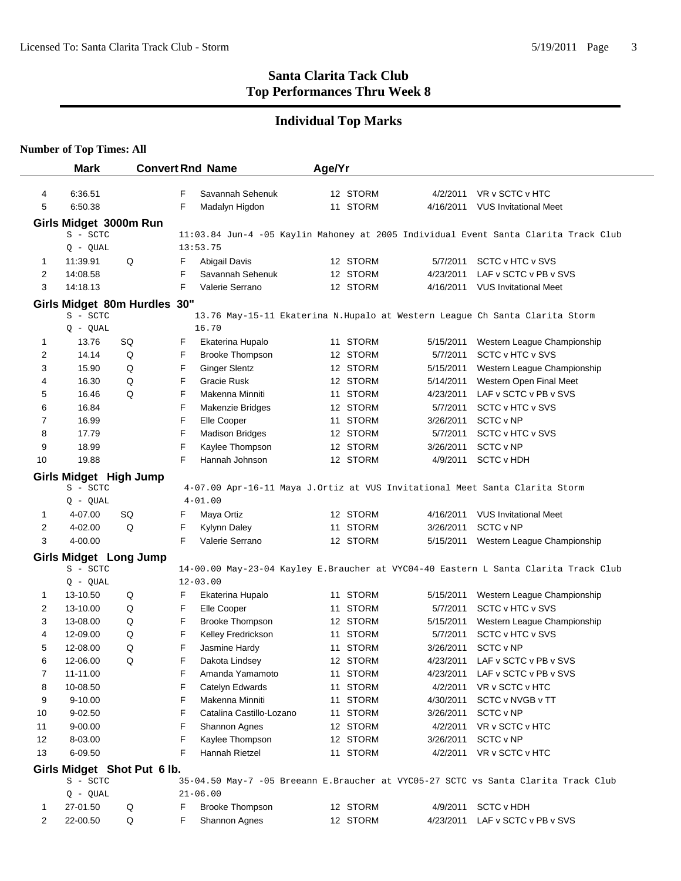## **Individual Top Marks**

**Number of Top Times: All**

|                | <b>Mark</b>                        |    |   | <b>Convert Rnd Name</b>  | Age/Yr |          |           |                                                                                     |
|----------------|------------------------------------|----|---|--------------------------|--------|----------|-----------|-------------------------------------------------------------------------------------|
| 4              | 6:36.51                            |    | F | Savannah Sehenuk         |        | 12 STORM | 4/2/2011  | VR v SCTC v HTC                                                                     |
| 5              | 6:50.38                            |    | F | Madalyn Higdon           |        | 11 STORM |           | 4/16/2011 VUS Invitational Meet                                                     |
|                | Girls Midget 3000m Run             |    |   |                          |        |          |           |                                                                                     |
|                | S - SCTC                           |    |   |                          |        |          |           | 11:03.84 Jun-4 -05 Kaylin Mahoney at 2005 Individual Event Santa Clarita Track Club |
|                | $Q - QUAL$                         |    |   | 13:53.75                 |        |          |           |                                                                                     |
| 1              | 11:39.91                           | Q  | F | Abigail Davis            |        | 12 STORM | 5/7/2011  | SCTC v HTC v SVS                                                                    |
| 2              | 14:08.58                           |    | F | Savannah Sehenuk         |        | 12 STORM | 4/23/2011 | LAF v SCTC v PB v SVS                                                               |
| 3              | 14:18.13                           |    | F | Valerie Serrano          |        | 12 STORM | 4/16/2011 | <b>VUS Invitational Meet</b>                                                        |
|                | Girls Midget 80m Hurdles 30"       |    |   |                          |        |          |           |                                                                                     |
|                | S - SCTC                           |    |   |                          |        |          |           | 13.76 May-15-11 Ekaterina N.Hupalo at Western League Ch Santa Clarita Storm         |
|                | $Q - QUAL$                         |    |   | 16.70                    |        |          |           |                                                                                     |
| 1              | 13.76                              | SQ | F | Ekaterina Hupalo         |        | 11 STORM | 5/15/2011 | Western League Championship                                                         |
| 2              | 14.14                              | Q  | F | <b>Brooke Thompson</b>   |        | 12 STORM | 5/7/2011  | SCTC v HTC v SVS                                                                    |
| 3              | 15.90                              | Q  | F | <b>Ginger Slentz</b>     |        | 12 STORM | 5/15/2011 | Western League Championship                                                         |
| 4              | 16.30                              | Q  | F | Gracie Rusk              |        | 12 STORM | 5/14/2011 | Western Open Final Meet                                                             |
| 5              | 16.46                              | Q  | F | Makenna Minniti          |        | 11 STORM | 4/23/2011 | LAF v SCTC v PB v SVS                                                               |
| 6              | 16.84                              |    | F | <b>Makenzie Bridges</b>  |        | 12 STORM | 5/7/2011  | SCTC v HTC v SVS                                                                    |
| 7              | 16.99                              |    | F | Elle Cooper              |        | 11 STORM | 3/26/2011 | SCTC v NP                                                                           |
| 8              | 17.79                              |    | F | <b>Madison Bridges</b>   |        | 12 STORM | 5/7/2011  | SCTC v HTC v SVS                                                                    |
| 9              | 18.99                              |    | F | Kaylee Thompson          |        | 12 STORM | 3/26/2011 | SCTC v NP                                                                           |
| 10             | 19.88                              |    | F | Hannah Johnson           |        | 12 STORM | 4/9/2011  | <b>SCTC v HDH</b>                                                                   |
|                | Girls Midget High Jump             |    |   |                          |        |          |           |                                                                                     |
|                | S - SCTC<br>$Q - QUAL$             |    |   | $4 - 01.00$              |        |          |           | 4-07.00 Apr-16-11 Maya J.Ortiz at VUS Invitational Meet Santa Clarita Storm         |
| 1              | 4-07.00                            | SQ | F | Maya Ortiz               |        | 12 STORM | 4/16/2011 | <b>VUS Invitational Meet</b>                                                        |
| 2              | 4-02.00                            | Q  | F | Kylynn Daley             |        | 11 STORM | 3/26/2011 | SCTC v NP                                                                           |
| 3              | 4-00.00                            |    | F | Valerie Serrano          |        | 12 STORM |           | 5/15/2011 Western League Championship                                               |
|                |                                    |    |   |                          |        |          |           |                                                                                     |
|                | Girls Midget Long Jump<br>S - SCTC |    |   |                          |        |          |           | 14-00.00 May-23-04 Kayley E.Braucher at VYC04-40 Eastern L Santa Clarita Track Club |
|                | $Q - QUAL$                         |    |   | $12 - 03.00$             |        |          |           |                                                                                     |
| 1              | 13-10.50                           | Q  | F | Ekaterina Hupalo         |        | 11 STORM | 5/15/2011 | Western League Championship                                                         |
| 2              | 13-10.00                           | Q  | F | Elle Cooper              |        | 11 STORM | 5/7/2011  | SCTC v HTC v SVS                                                                    |
| 3              | 13-08.00                           | Q  | F | <b>Brooke Thompson</b>   |        | 12 STORM | 5/15/2011 | Western League Championship                                                         |
| 4              | 12-09.00                           | Q  | F | Kelley Fredrickson       |        | 11 STORM | 5/7/2011  | SCTC v HTC v SVS                                                                    |
| 5              | 12-08.00                           | Q  | F | Jasmine Hardy            |        | 11 STORM | 3/26/2011 | SCTC v NP                                                                           |
| 6              | 12-06.00                           | Q  | F | Dakota Lindsey           |        | 12 STORM |           | 4/23/2011 LAF v SCTC v PB v SVS                                                     |
| 7              | 11-11.00                           |    | F | Amanda Yamamoto          |        | 11 STORM |           | 4/23/2011 LAF v SCTC v PB v SVS                                                     |
| 8              | 10-08.50                           |    | F | Catelyn Edwards          |        | 11 STORM | 4/2/2011  | VR v SCTC v HTC                                                                     |
| 9              | $9 - 10.00$                        |    | F | Makenna Minniti          |        | 11 STORM | 4/30/2011 | SCTC v NVGB v TT                                                                    |
| 10             | $9 - 02.50$                        |    | F | Catalina Castillo-Lozano |        | 11 STORM | 3/26/2011 | SCTC v NP                                                                           |
| 11             | 9-00.00                            |    | F | Shannon Agnes            |        | 12 STORM | 4/2/2011  | VR v SCTC v HTC                                                                     |
| 12             | 8-03.00                            |    | F | Kaylee Thompson          |        | 12 STORM | 3/26/2011 | SCTC v NP                                                                           |
| 13             | 6-09.50                            |    | F | Hannah Rietzel           |        | 11 STORM | 4/2/2011  | VR v SCTC v HTC                                                                     |
|                | Girls Midget Shot Put 6 lb.        |    |   |                          |        |          |           |                                                                                     |
|                | S - SCTC                           |    |   |                          |        |          |           | 35-04.50 May-7 -05 Breeann E.Braucher at VYC05-27 SCTC vs Santa Clarita Track Club  |
|                | $Q - QUAL$                         |    |   | $21 - 06.00$             |        |          |           |                                                                                     |
| 1              | 27-01.50                           | Q  | F | <b>Brooke Thompson</b>   |        | 12 STORM | 4/9/2011  | <b>SCTC v HDH</b>                                                                   |
| $\overline{c}$ | 22-00.50                           | Q  | F | Shannon Agnes            |        | 12 STORM | 4/23/2011 | LAF v SCTC v PB v SVS                                                               |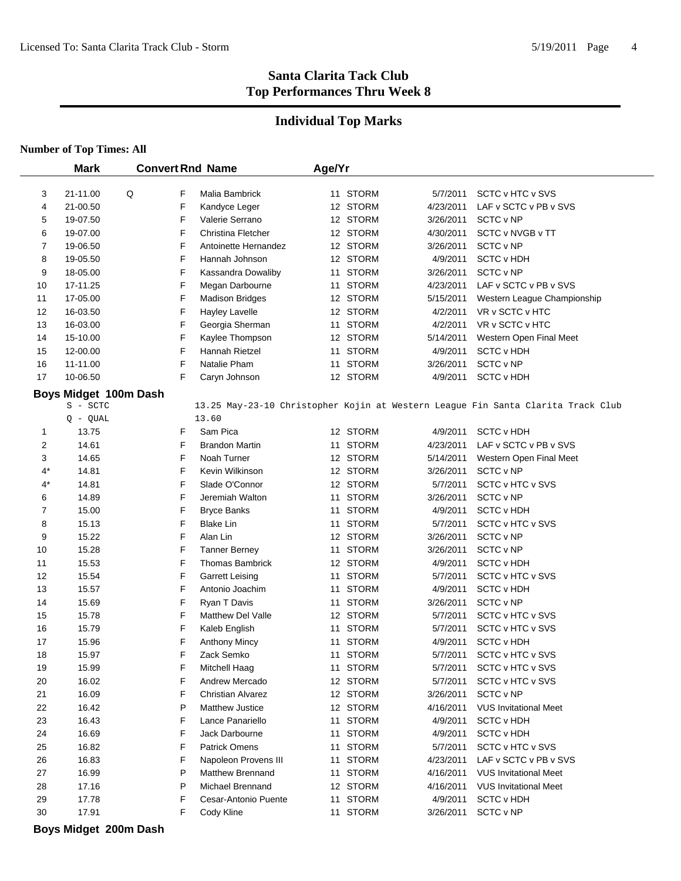#### **Individual Top Marks**

## **Number of Top Times: All**

|                | <b>Mark</b>           |   |   | <b>Convert Rnd Name</b>  | Age/Yr |              |           |                                                                                  |
|----------------|-----------------------|---|---|--------------------------|--------|--------------|-----------|----------------------------------------------------------------------------------|
|                |                       |   |   |                          |        |              |           |                                                                                  |
| 3              | 21-11.00              | Q | F | Malia Bambrick           |        | 11 STORM     | 5/7/2011  | SCTC v HTC v SVS                                                                 |
| 4              | 21-00.50              |   | F | Kandyce Leger            |        | 12 STORM     | 4/23/2011 | LAF v SCTC v PB v SVS                                                            |
| 5              | 19-07.50              |   | F | Valerie Serrano          |        | 12 STORM     | 3/26/2011 | SCTC v NP                                                                        |
| 6              | 19-07.00              |   | F | Christina Fletcher       |        | 12 STORM     | 4/30/2011 | SCTC v NVGB v TT                                                                 |
| 7              | 19-06.50              |   | F | Antoinette Hernandez     |        | 12 STORM     | 3/26/2011 | SCTC v NP                                                                        |
| 8              | 19-05.50              |   | F | Hannah Johnson           |        | 12 STORM     | 4/9/2011  | <b>SCTC v HDH</b>                                                                |
| 9              | 18-05.00              |   | F | Kassandra Dowaliby       |        | 11 STORM     | 3/26/2011 | SCTC v NP                                                                        |
| 10             | 17-11.25              |   | F | Megan Darbourne          |        | 11 STORM     | 4/23/2011 | LAF v SCTC v PB v SVS                                                            |
| 11             | 17-05.00              |   | F | <b>Madison Bridges</b>   |        | 12 STORM     | 5/15/2011 | Western League Championship                                                      |
| 12             | 16-03.50              |   | F | <b>Hayley Lavelle</b>    |        | 12 STORM     | 4/2/2011  | VR v SCTC v HTC                                                                  |
| 13             | 16-03.00              |   | F | Georgia Sherman          |        | 11 STORM     | 4/2/2011  | VR v SCTC v HTC                                                                  |
| 14             | 15-10.00              |   | F | Kaylee Thompson          |        | 12 STORM     | 5/14/2011 | Western Open Final Meet                                                          |
| 15             | 12-00.00              |   | F | Hannah Rietzel           |        | 11 STORM     | 4/9/2011  | <b>SCTC v HDH</b>                                                                |
| 16             | 11-11.00              |   | F | Natalie Pham             |        | 11 STORM     | 3/26/2011 | SCTC v NP                                                                        |
| 17             | 10-06.50              |   | F | Caryn Johnson            |        | 12 STORM     | 4/9/2011  | <b>SCTC v HDH</b>                                                                |
|                | Boys Midget 100m Dash |   |   |                          |        |              |           |                                                                                  |
|                | S - SCTC              |   |   |                          |        |              |           | 13.25 May-23-10 Christopher Kojin at Western League Fin Santa Clarita Track Club |
|                | $Q - QUAL$            |   |   | 13.60                    |        |              |           |                                                                                  |
| 1              | 13.75                 |   | F | Sam Pica                 |        | 12 STORM     | 4/9/2011  | <b>SCTC v HDH</b>                                                                |
| $\overline{2}$ | 14.61                 |   | F | <b>Brandon Martin</b>    |        | 11 STORM     | 4/23/2011 | LAF v SCTC v PB v SVS                                                            |
| 3              | 14.65                 |   | F | Noah Turner              |        | 12 STORM     | 5/14/2011 | Western Open Final Meet                                                          |
| $4^*$          | 14.81                 |   | F | Kevin Wilkinson          |        | 12 STORM     | 3/26/2011 | SCTC v NP                                                                        |
| 4*             | 14.81                 |   | F | Slade O'Connor           |        | 12 STORM     | 5/7/2011  | SCTC v HTC v SVS                                                                 |
| 6              | 14.89                 |   | F | Jeremiah Walton          |        | 11 STORM     | 3/26/2011 | SCTC v NP                                                                        |
| 7              | 15.00                 |   | F | <b>Bryce Banks</b>       | 11     | <b>STORM</b> | 4/9/2011  | <b>SCTC v HDH</b>                                                                |
| 8              | 15.13                 |   | F | <b>Blake Lin</b>         |        | 11 STORM     | 5/7/2011  | SCTC v HTC v SVS                                                                 |
| 9              | 15.22                 |   | F | Alan Lin                 |        | 12 STORM     | 3/26/2011 | SCTC v NP                                                                        |
| 10             | 15.28                 |   | F | <b>Tanner Berney</b>     |        | 11 STORM     | 3/26/2011 | SCTC v NP                                                                        |
| 11             | 15.53                 |   | F | <b>Thomas Bambrick</b>   |        | 12 STORM     | 4/9/2011  | <b>SCTC v HDH</b>                                                                |
| 12             | 15.54                 |   | F | <b>Garrett Leising</b>   |        | 11 STORM     | 5/7/2011  | SCTC v HTC v SVS                                                                 |
| 13             | 15.57                 |   | F | Antonio Joachim          |        | 11 STORM     | 4/9/2011  | <b>SCTC v HDH</b>                                                                |
| 14             | 15.69                 |   | F | Ryan T Davis             |        | 11 STORM     | 3/26/2011 | SCTC v NP                                                                        |
| 15             | 15.78                 |   | F | <b>Matthew Del Valle</b> |        | 12 STORM     | 5/7/2011  | SCTC v HTC v SVS                                                                 |
| 16             | 15.79                 |   | F | Kaleb English            |        | 11 STORM     | 5/7/2011  | SCTC v HTC v SVS                                                                 |
| 17             | 15.96                 |   | F | <b>Anthony Mincy</b>     | 11     | <b>STORM</b> | 4/9/2011  | <b>SCTC v HDH</b>                                                                |
| 18             | 15.97                 |   | F | Zack Semko               |        | 11 STORM     | 5/7/2011  | SCTC v HTC v SVS                                                                 |
| 19             | 15.99                 |   | F | Mitchell Haag            |        | 11 STORM     | 5/7/2011  | <b>SCTC v HTC v SVS</b>                                                          |
| 20             | 16.02                 |   | F | Andrew Mercado           |        | 12 STORM     | 5/7/2011  | SCTC v HTC v SVS                                                                 |
| 21             | 16.09                 |   | F | Christian Alvarez        |        | 12 STORM     | 3/26/2011 | SCTC v NP                                                                        |
| 22             | 16.42                 |   | Ρ | Matthew Justice          |        | 12 STORM     | 4/16/2011 | <b>VUS Invitational Meet</b>                                                     |
| 23             | 16.43                 |   | F | Lance Panariello         |        | 11 STORM     | 4/9/2011  | <b>SCTC v HDH</b>                                                                |
| 24             | 16.69                 |   | F | Jack Darbourne           | 11     | <b>STORM</b> | 4/9/2011  | <b>SCTC v HDH</b>                                                                |
| 25             | 16.82                 |   | F | <b>Patrick Omens</b>     |        | 11 STORM     | 5/7/2011  | SCTC v HTC v SVS                                                                 |
| 26             | 16.83                 |   | F | Napoleon Provens III     |        | 11 STORM     | 4/23/2011 | LAF v SCTC v PB v SVS                                                            |
| 27             | 16.99                 |   | Ρ | Matthew Brennand         |        | 11 STORM     | 4/16/2011 | <b>VUS Invitational Meet</b>                                                     |
| 28             | 17.16                 |   | Ρ | Michael Brennand         |        | 12 STORM     | 4/16/2011 | <b>VUS Invitational Meet</b>                                                     |
| 29             | 17.78                 |   | F | Cesar-Antonio Puente     |        | 11 STORM     | 4/9/2011  | <b>SCTC v HDH</b>                                                                |
| 30             | 17.91                 |   | F | Cody Kline               |        | 11 STORM     | 3/26/2011 | SCTC v NP                                                                        |

**Boys Midget 200m Dash**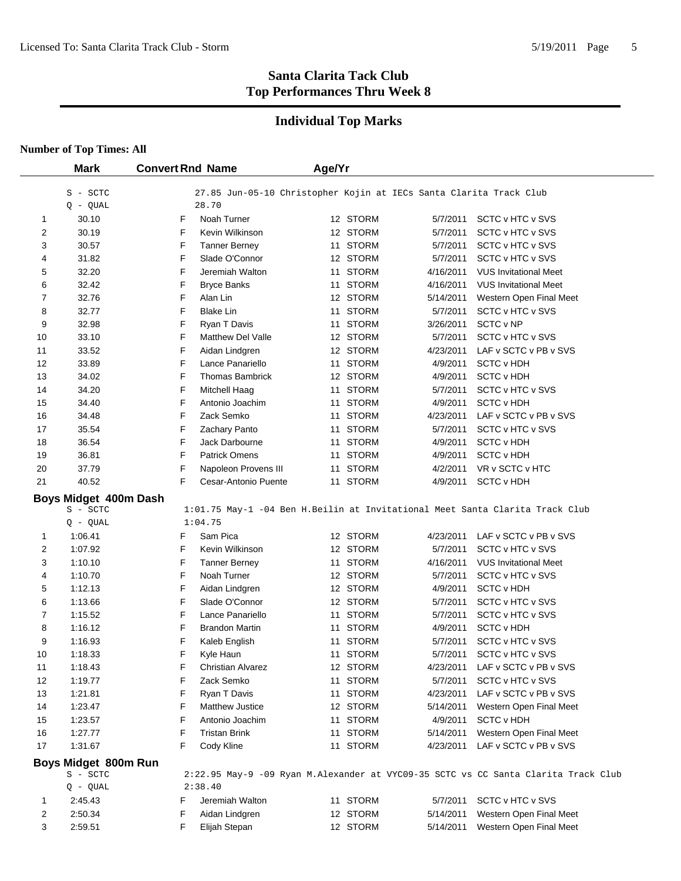## **Individual Top Marks**

#### **Number of Top Times: All**

 $\overline{a}$ 

|                | <b>Mark</b>           | <b>Convert Rnd Name</b>       | Age/Yr |          |                                                                    |                                                                                    |  |
|----------------|-----------------------|-------------------------------|--------|----------|--------------------------------------------------------------------|------------------------------------------------------------------------------------|--|
|                |                       |                               |        |          |                                                                    |                                                                                    |  |
|                | S - SCTC              |                               |        |          | 27.85 Jun-05-10 Christopher Kojin at IECs Santa Clarita Track Club |                                                                                    |  |
|                | $Q - QUAL$            | 28.70                         |        |          |                                                                    |                                                                                    |  |
| 1              | 30.10                 | F<br>Noah Turner              |        | 12 STORM | 5/7/2011                                                           | SCTC v HTC v SVS                                                                   |  |
| $\overline{2}$ | 30.19                 | F<br>Kevin Wilkinson          |        | 12 STORM | 5/7/2011                                                           | SCTC v HTC v SVS                                                                   |  |
| 3              | 30.57                 | F<br><b>Tanner Berney</b>     |        | 11 STORM | 5/7/2011                                                           | SCTC v HTC v SVS                                                                   |  |
| 4              | 31.82                 | F<br>Slade O'Connor           |        | 12 STORM | 5/7/2011                                                           | SCTC v HTC v SVS                                                                   |  |
| 5              | 32.20                 | F<br>Jeremiah Walton          |        | 11 STORM | 4/16/2011                                                          | <b>VUS Invitational Meet</b>                                                       |  |
| 6              | 32.42                 | F<br><b>Bryce Banks</b>       |        | 11 STORM | 4/16/2011                                                          | <b>VUS Invitational Meet</b>                                                       |  |
| 7              | 32.76                 | F<br>Alan Lin                 |        | 12 STORM | 5/14/2011                                                          | Western Open Final Meet                                                            |  |
| 8              | 32.77                 | F<br><b>Blake Lin</b>         |        | 11 STORM | 5/7/2011                                                           | SCTC v HTC v SVS                                                                   |  |
| 9              | 32.98                 | F<br>Ryan T Davis             |        | 11 STORM | 3/26/2011                                                          | SCTC v NP                                                                          |  |
| 10             | 33.10                 | F<br><b>Matthew Del Valle</b> |        | 12 STORM | 5/7/2011                                                           | SCTC v HTC v SVS                                                                   |  |
| 11             | 33.52                 | F<br>Aidan Lindgren           |        | 12 STORM | 4/23/2011                                                          | LAF v SCTC v PB v SVS                                                              |  |
| 12             | 33.89                 | F<br>Lance Panariello         |        | 11 STORM | 4/9/2011                                                           | <b>SCTC v HDH</b>                                                                  |  |
| 13             | 34.02                 | F<br><b>Thomas Bambrick</b>   |        | 12 STORM | 4/9/2011                                                           | <b>SCTC v HDH</b>                                                                  |  |
| 14             | 34.20                 | F<br>Mitchell Haag            |        | 11 STORM | 5/7/2011                                                           | SCTC v HTC v SVS                                                                   |  |
| 15             | 34.40                 | F<br>Antonio Joachim          |        | 11 STORM | 4/9/2011                                                           | <b>SCTC v HDH</b>                                                                  |  |
| 16             | 34.48                 | F<br>Zack Semko               |        | 11 STORM | 4/23/2011                                                          | LAF v SCTC v PB v SVS                                                              |  |
| 17             | 35.54                 | F<br>Zachary Panto            |        | 11 STORM | 5/7/2011                                                           | SCTC v HTC v SVS                                                                   |  |
| 18             | 36.54                 | F<br>Jack Darbourne           |        | 11 STORM | 4/9/2011                                                           | <b>SCTC v HDH</b>                                                                  |  |
| 19             | 36.81                 | F<br><b>Patrick Omens</b>     |        | 11 STORM | 4/9/2011                                                           | <b>SCTC v HDH</b>                                                                  |  |
| 20             | 37.79                 | F<br>Napoleon Provens III     |        | 11 STORM | 4/2/2011                                                           | VR v SCTC v HTC                                                                    |  |
| 21             | 40.52                 | F<br>Cesar-Antonio Puente     |        | 11 STORM | 4/9/2011                                                           | <b>SCTC v HDH</b>                                                                  |  |
|                | Boys Midget 400m Dash |                               |        |          |                                                                    |                                                                                    |  |
|                | S - SCTC              |                               |        |          |                                                                    | 1:01.75 May-1 -04 Ben H.Beilin at Invitational Meet Santa Clarita Track Club       |  |
|                | $Q - QUAL$            | 1:04.75                       |        |          |                                                                    |                                                                                    |  |
| 1              | 1:06.41               | F<br>Sam Pica                 |        | 12 STORM | 4/23/2011                                                          | LAF v SCTC v PB v SVS                                                              |  |
| 2              | 1:07.92               | F<br>Kevin Wilkinson          |        | 12 STORM | 5/7/2011                                                           | SCTC v HTC v SVS                                                                   |  |
| 3              | 1:10.10               | F<br><b>Tanner Berney</b>     |        | 11 STORM | 4/16/2011                                                          | <b>VUS Invitational Meet</b>                                                       |  |
| 4              | 1:10.70               | F<br>Noah Turner              |        | 12 STORM | 5/7/2011                                                           | SCTC v HTC v SVS                                                                   |  |
| 5              | 1:12.13               | F<br>Aidan Lindgren           |        | 12 STORM | 4/9/2011                                                           | <b>SCTC v HDH</b>                                                                  |  |
| 6              | 1:13.66               | F<br>Slade O'Connor           |        | 12 STORM | 5/7/2011                                                           | SCTC v HTC v SVS                                                                   |  |
| 7              | 1:15.52               | F<br>Lance Panariello         |        | 11 STORM | 5/7/2011                                                           | SCTC v HTC v SVS                                                                   |  |
| 8              | 1:16.12               | F<br><b>Brandon Martin</b>    |        | 11 STORM | 4/9/2011                                                           | <b>SCTC v HDH</b>                                                                  |  |
| 9              | 1:16.93               | F<br>Kaleb English            |        | 11 STORM | 5/7/2011                                                           | SCTC v HTC v SVS                                                                   |  |
| 10             | 1:18.33               | F<br>Kyle Haun                |        | 11 STORM | 5/7/2011                                                           | SCTC v HTC v SVS                                                                   |  |
| 11             | 1:18.43               | F<br><b>Christian Alvarez</b> |        | 12 STORM | 4/23/2011                                                          | LAF v SCTC v PB v SVS                                                              |  |
| 12             | 1:19.77               | F<br>Zack Semko               |        | 11 STORM | 5/7/2011                                                           | SCTC v HTC v SVS                                                                   |  |
| 13             | 1:21.81               | F<br>Ryan T Davis             |        | 11 STORM | 4/23/2011                                                          | LAF v SCTC v PB v SVS                                                              |  |
| 14             | 1:23.47               | F<br><b>Matthew Justice</b>   |        | 12 STORM | 5/14/2011                                                          | Western Open Final Meet                                                            |  |
| 15             | 1:23.57               | F<br>Antonio Joachim          |        | 11 STORM | 4/9/2011                                                           | <b>SCTC v HDH</b>                                                                  |  |
| 16             | 1:27.77               | F<br><b>Tristan Brink</b>     |        | 11 STORM | 5/14/2011                                                          | Western Open Final Meet                                                            |  |
| 17             | 1:31.67               | F<br>Cody Kline               |        | 11 STORM | 4/23/2011                                                          | LAF v SCTC v PB v SVS                                                              |  |
|                | Boys Midget 800m Run  |                               |        |          |                                                                    |                                                                                    |  |
|                | S - SCTC              |                               |        |          |                                                                    | 2:22.95 May-9 -09 Ryan M.Alexander at VYC09-35 SCTC vs CC Santa Clarita Track Club |  |
|                | $Q - QUAL$            | 2:38.40                       |        |          |                                                                    |                                                                                    |  |
| 1              | 2:45.43               | F<br>Jeremiah Walton          |        | 11 STORM | 5/7/2011                                                           | SCTC v HTC v SVS                                                                   |  |
| 2              | 2:50.34               | F<br>Aidan Lindgren           |        | 12 STORM | 5/14/2011                                                          | Western Open Final Meet                                                            |  |
| 3              | 2:59.51               | F<br>Elijah Stepan            |        | 12 STORM | 5/14/2011                                                          | Western Open Final Meet                                                            |  |
|                |                       |                               |        |          |                                                                    |                                                                                    |  |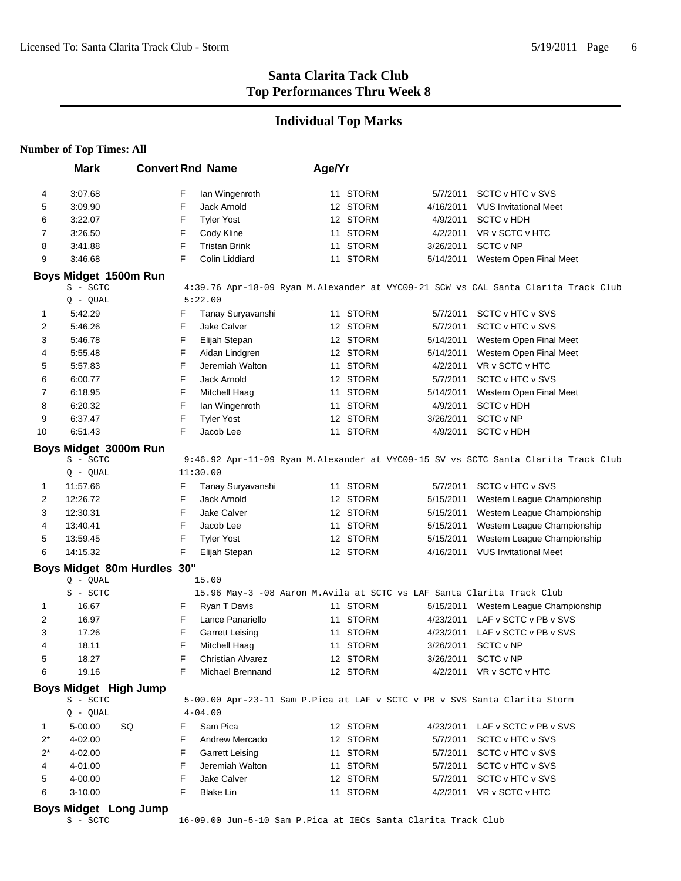#### **Individual Top Marks**

# **Number of Top Times: All**

|              | <b>Mark</b>                  | <b>Convert Rnd Name</b>                                                   | Age/Yr   |           |                                                                                    |
|--------------|------------------------------|---------------------------------------------------------------------------|----------|-----------|------------------------------------------------------------------------------------|
| 4            | 3:07.68                      | F<br>lan Wingenroth                                                       | 11 STORM | 5/7/2011  | SCTC v HTC v SVS                                                                   |
| 5            | 3:09.90                      | F<br>Jack Arnold                                                          | 12 STORM | 4/16/2011 | <b>VUS Invitational Meet</b>                                                       |
| 6            | 3:22.07                      | F<br><b>Tyler Yost</b>                                                    | 12 STORM | 4/9/2011  | <b>SCTC v HDH</b>                                                                  |
| 7            | 3:26.50                      | F<br>Cody Kline                                                           | 11 STORM | 4/2/2011  | VR v SCTC v HTC                                                                    |
| 8            | 3:41.88                      | F<br><b>Tristan Brink</b>                                                 | 11 STORM | 3/26/2011 | SCTC v NP                                                                          |
| 9            | 3:46.68                      | F<br>Colin Liddiard                                                       | 11 STORM |           |                                                                                    |
|              |                              |                                                                           |          | 5/14/2011 | Western Open Final Meet                                                            |
|              | Boys Midget 1500m Run        |                                                                           |          |           |                                                                                    |
|              | S - SCTC                     |                                                                           |          |           | 4:39.76 Apr-18-09 Ryan M.Alexander at VYC09-21 SCW vs CAL Santa Clarita Track Club |
|              | $Q - QUAL$                   | 5:22.00                                                                   |          |           |                                                                                    |
| 1            | 5:42.29                      | F<br>Tanay Suryavanshi                                                    | 11 STORM | 5/7/2011  | SCTC v HTC v SVS                                                                   |
| 2            | 5:46.26                      | F<br>Jake Calver                                                          | 12 STORM | 5/7/2011  | SCTC v HTC v SVS                                                                   |
| 3            | 5:46.78                      | F<br>Elijah Stepan                                                        | 12 STORM | 5/14/2011 | Western Open Final Meet                                                            |
| 4            | 5:55.48                      | F<br>Aidan Lindgren                                                       | 12 STORM | 5/14/2011 | Western Open Final Meet                                                            |
| 5            | 5:57.83                      | F<br>Jeremiah Walton                                                      | 11 STORM | 4/2/2011  | VR v SCTC v HTC                                                                    |
| 6            | 6:00.77                      | F<br>Jack Arnold                                                          | 12 STORM | 5/7/2011  | SCTC v HTC v SVS                                                                   |
| 7            | 6:18.95                      | F<br>Mitchell Haag                                                        | 11 STORM | 5/14/2011 | Western Open Final Meet                                                            |
| 8            | 6:20.32                      | F<br>lan Wingenroth                                                       | 11 STORM | 4/9/2011  | <b>SCTC v HDH</b>                                                                  |
| 9            | 6:37.47                      | F<br><b>Tyler Yost</b>                                                    | 12 STORM | 3/26/2011 | SCTC v NP                                                                          |
| 10           | 6:51.43                      | F<br>Jacob Lee                                                            | 11 STORM | 4/9/2011  | <b>SCTC v HDH</b>                                                                  |
|              | Boys Midget 3000m Run        |                                                                           |          |           |                                                                                    |
|              | S - SCTC                     |                                                                           |          |           | 9:46.92 Apr-11-09 Ryan M.Alexander at VYC09-15 SV vs SCTC Santa Clarita Track Club |
|              | Q - QUAL                     | 11:30.00                                                                  |          |           |                                                                                    |
| 1            | 11:57.66                     | F<br>Tanay Suryavanshi                                                    | 11 STORM | 5/7/2011  | SCTC v HTC v SVS                                                                   |
| 2            | 12:26.72                     | F<br>Jack Arnold                                                          | 12 STORM | 5/15/2011 | Western League Championship                                                        |
| 3            | 12:30.31                     | F<br>Jake Calver                                                          | 12 STORM | 5/15/2011 | Western League Championship                                                        |
| 4            | 13:40.41                     | F<br>Jacob Lee                                                            | 11 STORM | 5/15/2011 | Western League Championship                                                        |
| 5            | 13:59.45                     | F<br><b>Tyler Yost</b>                                                    | 12 STORM | 5/15/2011 | Western League Championship                                                        |
| 6            | 14:15.32                     | F<br>Elijah Stepan                                                        | 12 STORM | 4/16/2011 | <b>VUS Invitational Meet</b>                                                       |
|              |                              |                                                                           |          |           |                                                                                    |
|              |                              | Boys Midget 80m Hurdles 30"                                               |          |           |                                                                                    |
|              | $Q - QUAL$                   | 15.00                                                                     |          |           |                                                                                    |
|              | S - SCTC                     | 15.96 May-3 -08 Aaron M.Avila at SCTC vs LAF Santa Clarita Track Club     |          |           |                                                                                    |
| 1            | 16.67                        | F<br>Ryan T Davis                                                         | 11 STORM | 5/15/2011 | Western League Championship                                                        |
| 2            | 16.97                        | F<br>Lance Panariello                                                     | 11 STORM | 4/23/2011 | LAF v SCTC v PB v SVS                                                              |
| 3            | 17.26                        | F<br><b>Garrett Leising</b>                                               | 11 STORM | 4/23/2011 | LAF v SCTC v PB v SVS                                                              |
| 4            | 18.11                        | F<br>Mitchell Haag                                                        | 11 STORM | 3/26/2011 | SCTC v NP                                                                          |
| 5            | 18.27                        | F<br>Christian Alvarez                                                    | 12 STORM | 3/26/2011 | SCTC v NP                                                                          |
| 6            | 19.16                        | F<br>Michael Brennand                                                     | 12 STORM |           | 4/2/2011 VR v SCTC v HTC                                                           |
|              | <b>Boys Midget High Jump</b> |                                                                           |          |           |                                                                                    |
|              | S - SCTC                     | 5-00.00 Apr-23-11 Sam P.Pica at LAF v SCTC v PB v SVS Santa Clarita Storm |          |           |                                                                                    |
|              | $Q - QUAL$                   | $4 - 04.00$                                                               |          |           |                                                                                    |
| $\mathbf{1}$ | 5-00.00                      | Sam Pica<br>SQ<br>F                                                       | 12 STORM | 4/23/2011 | LAF v SCTC v PB v SVS                                                              |
| $2^*$        | 4-02.00                      | F<br>Andrew Mercado                                                       | 12 STORM | 5/7/2011  | SCTC v HTC v SVS                                                                   |
| $2^*$        | 4-02.00                      | F<br><b>Garrett Leising</b>                                               | 11 STORM | 5/7/2011  | SCTC v HTC v SVS                                                                   |
| 4            | 4-01.00                      | F<br>Jeremiah Walton                                                      | 11 STORM | 5/7/2011  | SCTC v HTC v SVS                                                                   |
| 5            | 4-00.00                      | F<br>Jake Calver                                                          | 12 STORM | 5/7/2011  | SCTC v HTC v SVS                                                                   |
| 6            | 3-10.00                      | <b>Blake Lin</b><br>F                                                     | 11 STORM |           | 4/2/2011 VR v SCTC v HTC                                                           |
| <b>DA110</b> | Midaat Lana Luma             |                                                                           |          |           |                                                                                    |

**Boys Midget Long Jump**<br>s - scrc

16-09.00 Jun-5-10 Sam P.Pica at IECs Santa Clarita Track Club